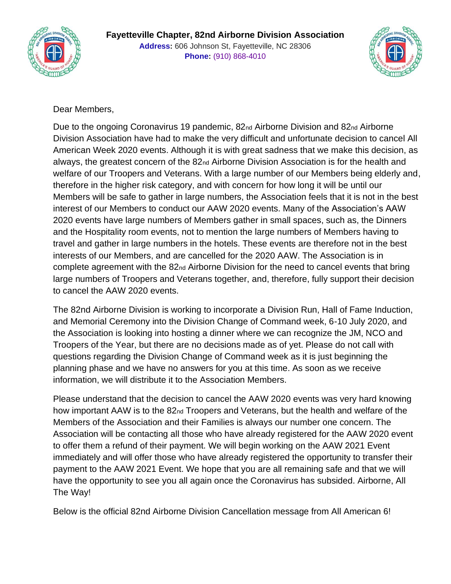



## Dear Members,

Due to the ongoing Coronavirus 19 pandemic, 82nd Airborne Division and 82nd Airborne Division Association have had to make the very difficult and unfortunate decision to cancel All American Week 2020 events. Although it is with great sadness that we make this decision, as always, the greatest concern of the 82nd Airborne Division Association is for the health and welfare of our Troopers and Veterans. With a large number of our Members being elderly and, therefore in the higher risk category, and with concern for how long it will be until our Members will be safe to gather in large numbers, the Association feels that it is not in the best interest of our Members to conduct our AAW 2020 events. Many of the Association's AAW 2020 events have large numbers of Members gather in small spaces, such as, the Dinners and the Hospitality room events, not to mention the large numbers of Members having to travel and gather in large numbers in the hotels. These events are therefore not in the best interests of our Members, and are cancelled for the 2020 AAW. The Association is in complete agreement with the 82nd Airborne Division for the need to cancel events that bring large numbers of Troopers and Veterans together, and, therefore, fully support their decision to cancel the AAW 2020 events.

The 82nd Airborne Division is working to incorporate a Division Run, Hall of Fame Induction, and Memorial Ceremony into the Division Change of Command week, 6-10 July 2020, and the Association is looking into hosting a dinner where we can recognize the JM, NCO and Troopers of the Year, but there are no decisions made as of yet. Please do not call with questions regarding the Division Change of Command week as it is just beginning the planning phase and we have no answers for you at this time. As soon as we receive information, we will distribute it to the Association Members.

Please understand that the decision to cancel the AAW 2020 events was very hard knowing how important AAW is to the 82<sub>nd</sub> Troopers and Veterans, but the health and welfare of the Members of the Association and their Families is always our number one concern. The Association will be contacting all those who have already registered for the AAW 2020 event to offer them a refund of their payment. We will begin working on the AAW 2021 Event immediately and will offer those who have already registered the opportunity to transfer their payment to the AAW 2021 Event. We hope that you are all remaining safe and that we will have the opportunity to see you all again once the Coronavirus has subsided. Airborne, All The Way!

Below is the official 82nd Airborne Division Cancellation message from All American 6!